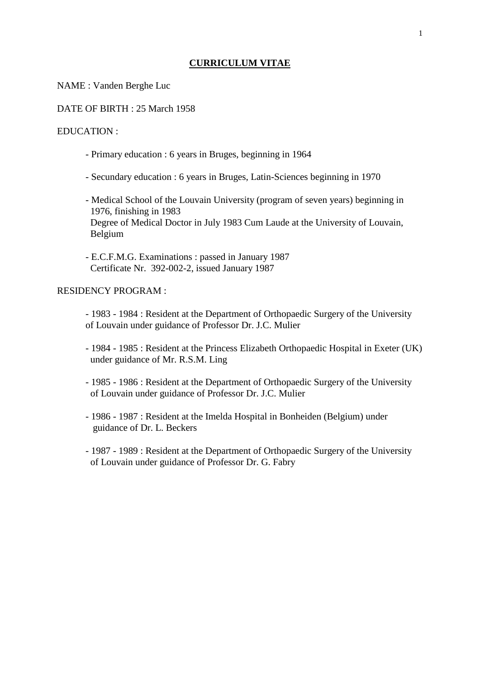## **CURRICULUM VITAE**

NAME : Vanden Berghe Luc

DATE OF BIRTH : 25 March 1958

EDUCATION :

- Primary education : 6 years in Bruges, beginning in 1964
- Secundary education : 6 years in Bruges, Latin-Sciences beginning in 1970
- Medical School of the Louvain University (program of seven years) beginning in 1976, finishing in 1983 Degree of Medical Doctor in July 1983 Cum Laude at the University of Louvain, Belgium
- E.C.F.M.G. Examinations : passed in January 1987 Certificate Nr. 392-002-2, issued January 1987

## RESIDENCY PROGRAM :

- 1983 - 1984 : Resident at the Department of Orthopaedic Surgery of the University of Louvain under guidance of Professor Dr. J.C. Mulier

- 1984 1985 : Resident at the Princess Elizabeth Orthopaedic Hospital in Exeter (UK) under guidance of Mr. R.S.M. Ling
- 1985 1986 : Resident at the Department of Orthopaedic Surgery of the University of Louvain under guidance of Professor Dr. J.C. Mulier
- 1986 1987 : Resident at the Imelda Hospital in Bonheiden (Belgium) under guidance of Dr. L. Beckers
- 1987 1989 : Resident at the Department of Orthopaedic Surgery of the University of Louvain under guidance of Professor Dr. G. Fabry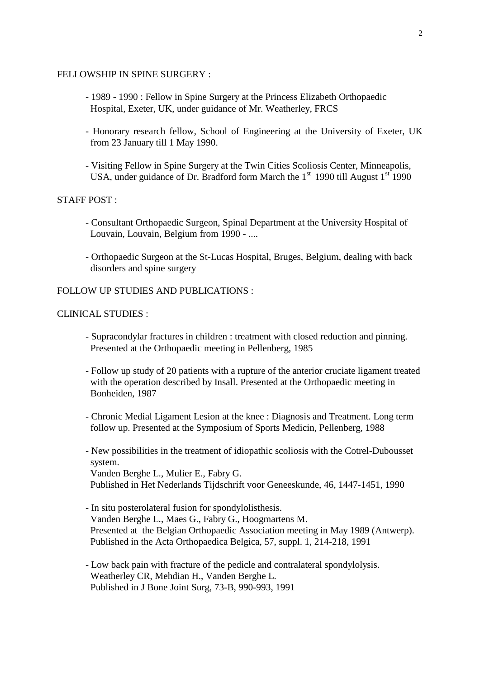#### FELLOWSHIP IN SPINE SURGERY :

- 1989 1990 : Fellow in Spine Surgery at the Princess Elizabeth Orthopaedic Hospital, Exeter, UK, under guidance of Mr. Weatherley, FRCS
- Honorary research fellow, School of Engineering at the University of Exeter, UK from 23 January till 1 May 1990.
- Visiting Fellow in Spine Surgery at the Twin Cities Scoliosis Center, Minneapolis, USA, under guidance of Dr. Bradford form March the  $1<sup>st</sup>$  1990 till August  $1<sup>st</sup>$  1990

STAFF POST :

- Consultant Orthopaedic Surgeon, Spinal Department at the University Hospital of Louvain, Louvain, Belgium from 1990 - ....
- Orthopaedic Surgeon at the St-Lucas Hospital, Bruges, Belgium, dealing with back disorders and spine surgery

## FOLLOW UP STUDIES AND PUBLICATIONS :

## CLINICAL STUDIES :

- Supracondylar fractures in children : treatment with closed reduction and pinning. Presented at the Orthopaedic meeting in Pellenberg, 1985
- Follow up study of 20 patients with a rupture of the anterior cruciate ligament treated with the operation described by Insall. Presented at the Orthopaedic meeting in Bonheiden, 1987
- Chronic Medial Ligament Lesion at the knee : Diagnosis and Treatment. Long term follow up. Presented at the Symposium of Sports Medicin, Pellenberg, 1988
- New possibilities in the treatment of idiopathic scoliosis with the Cotrel-Dubousset system. Vanden Berghe L., Mulier E., Fabry G. Published in Het Nederlands Tijdschrift voor Geneeskunde, 46, 1447-1451, 1990
- In situ posterolateral fusion for spondylolisthesis. Vanden Berghe L., Maes G., Fabry G., Hoogmartens M. Presented at the Belgian Orthopaedic Association meeting in May 1989 (Antwerp). Published in the Acta Orthopaedica Belgica, 57, suppl. 1, 214-218, 1991
- Low back pain with fracture of the pedicle and contralateral spondylolysis. Weatherley CR, Mehdian H., Vanden Berghe L. Published in J Bone Joint Surg, 73-B, 990-993, 1991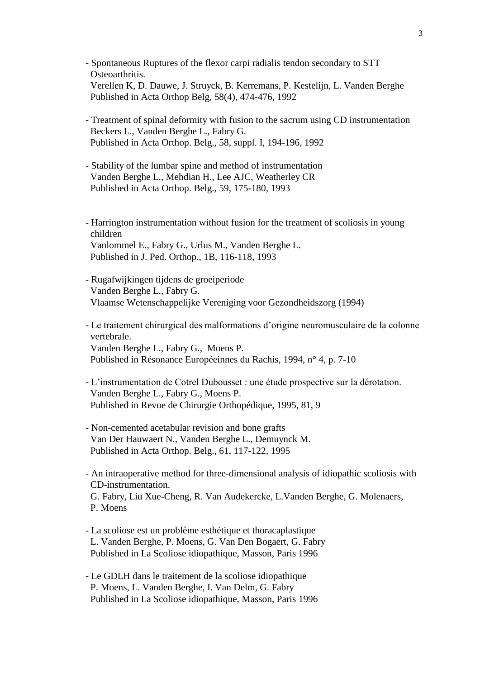- Spontaneous Ruptures of the flexor carpi radialis tendon secondary to STT Osteoarthritis. Verellen K, D. Dauwe, J. Struyck, B. Kerremans, P. Kestelijn, L. Vanden Berghe Published in Acta Orthop Belg, 58(4), 474-476, 1992
- Treatment of spinal deformity with fusion to the sacrum using CD instrumentation Beckers L., Vanden Berghe L., Fabry G. Published in Acta Orthop. Belg., 58, suppl. I, 194-196, 1992
- Stability of the lumbar spine and method of instrumentation Vanden Berghe L., Mehdian H., Lee AJC, Weatherley CR Published in Acta Orthop. Belg., 59, 175-180, 1993
- Harrington instrumentation without fusion for the treatment of scoliosis in young children Vanlommel E., Fabry G., Urlus M., Vanden Berghe L. Published in J. Ped. Orthop., 1B, 116-118, 1993
- Rugafwijkingen tijdens de groeiperiode Vanden Berghe L., Fabry G. Vlaamse Wetenschappelijke Vereniging voor Gezondheidszorg (1994)
- Le traitement chirurgical des malformations d'origine neuromusculaire de la colonne vertebrale. Vanden Berghe L., Fabry G., Moens P. Published in Résonance Européeinnes du Rachis, 1994, n° 4, p. 7-10
- L'instrumentation de Cotrel Dubousset : une étude prospective sur la dérotation. Vanden Berghe L., Fabry G., Moens P. Published in Revue de Chirurgie Orthopédique, 1995, 81, 9
- Non-cemented acetabular revision and bone grafts Van Der Hauwaert N., Vanden Berghe L., Demuynck M. Published in Acta Orthop. Belg., 61, 117-122, 1995
- An intraoperative method for three-dimensional analysis of idiopathic scoliosis with CD-instrumentation. G. Fabry, Liu Xue-Cheng, R. Van Audekercke, L.Vanden Berghe, G. Molenaers, P. Moens
- La scoliose est un problème esthétique et thoracaplastique L. Vanden Berghe, P. Moens, G. Van Den Bogaert, G. Fabry Published in La Scoliose idiopathique, Masson, Paris 1996
- Le GDLH dans le traitement de la scoliose idiopathique P. Moens, L. Vanden Berghe, I. Van Delm, G. Fabry Published in La Scoliose idiopathique, Masson, Paris 1996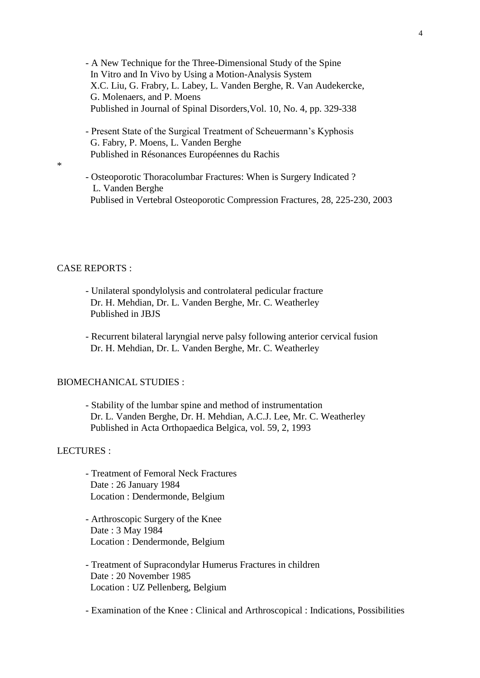- A New Technique for the Three-Dimensional Study of the Spine In Vitro and In Vivo by Using a Motion-Analysis System X.C. Liu, G. Frabry, L. Labey, L. Vanden Berghe, R. Van Audekercke, G. Molenaers, and P. Moens Published in Journal of Spinal Disorders,Vol. 10, No. 4, pp. 329-338
- Present State of the Surgical Treatment of Scheuermann's Kyphosis G. Fabry, P. Moens, L. Vanden Berghe Published in Résonances Européennes du Rachis
- Osteoporotic Thoracolumbar Fractures: When is Surgery Indicated ? L. Vanden Berghe Publised in Vertebral Osteoporotic Compression Fractures, 28, 225-230, 2003

## CASE REPORTS :

\*

- Unilateral spondylolysis and controlateral pedicular fracture Dr. H. Mehdian, Dr. L. Vanden Berghe, Mr. C. Weatherley Published in JBJS
- Recurrent bilateral laryngial nerve palsy following anterior cervical fusion Dr. H. Mehdian, Dr. L. Vanden Berghe, Mr. C. Weatherley

#### BIOMECHANICAL STUDIES :

- Stability of the lumbar spine and method of instrumentation Dr. L. Vanden Berghe, Dr. H. Mehdian, A.C.J. Lee, Mr. C. Weatherley Published in Acta Orthopaedica Belgica, vol. 59, 2, 1993

### LECTURES :

- Treatment of Femoral Neck Fractures Date : 26 January 1984 Location : Dendermonde, Belgium
- Arthroscopic Surgery of the Knee Date : 3 May 1984 Location : Dendermonde, Belgium
- Treatment of Supracondylar Humerus Fractures in children Date : 20 November 1985 Location : UZ Pellenberg, Belgium

- Examination of the Knee : Clinical and Arthroscopical : Indications, Possibilities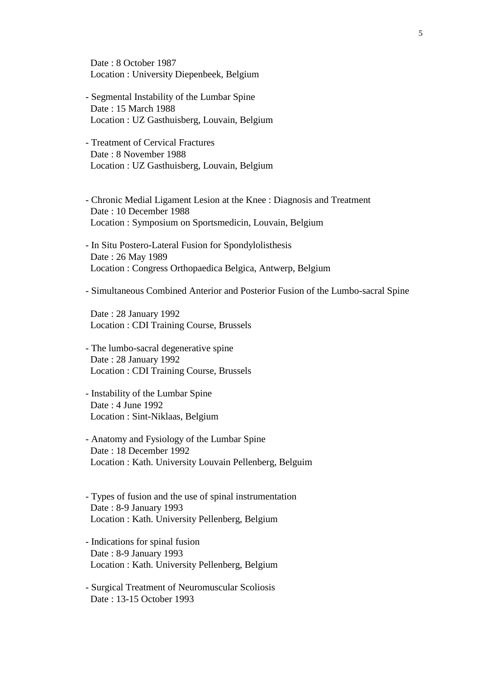Date : 8 October 1987 Location : University Diepenbeek, Belgium

- Segmental Instability of the Lumbar Spine Date : 15 March 1988 Location : UZ Gasthuisberg, Louvain, Belgium
- Treatment of Cervical Fractures Date : 8 November 1988 Location : UZ Gasthuisberg, Louvain, Belgium
- Chronic Medial Ligament Lesion at the Knee : Diagnosis and Treatment Date : 10 December 1988 Location : Symposium on Sportsmedicin, Louvain, Belgium
- In Situ Postero-Lateral Fusion for Spondylolisthesis Date : 26 May 1989 Location : Congress Orthopaedica Belgica, Antwerp, Belgium
- Simultaneous Combined Anterior and Posterior Fusion of the Lumbo-sacral Spine

 Date : 28 January 1992 Location : CDI Training Course, Brussels

- The lumbo-sacral degenerative spine Date : 28 January 1992 Location : CDI Training Course, Brussels
- Instability of the Lumbar Spine Date : 4 June 1992 Location : Sint-Niklaas, Belgium
- Anatomy and Fysiology of the Lumbar Spine Date : 18 December 1992 Location : Kath. University Louvain Pellenberg, Belguim
- Types of fusion and the use of spinal instrumentation Date : 8-9 January 1993 Location : Kath. University Pellenberg, Belgium
- Indications for spinal fusion Date : 8-9 January 1993 Location : Kath. University Pellenberg, Belgium
- Surgical Treatment of Neuromuscular Scoliosis Date : 13-15 October 1993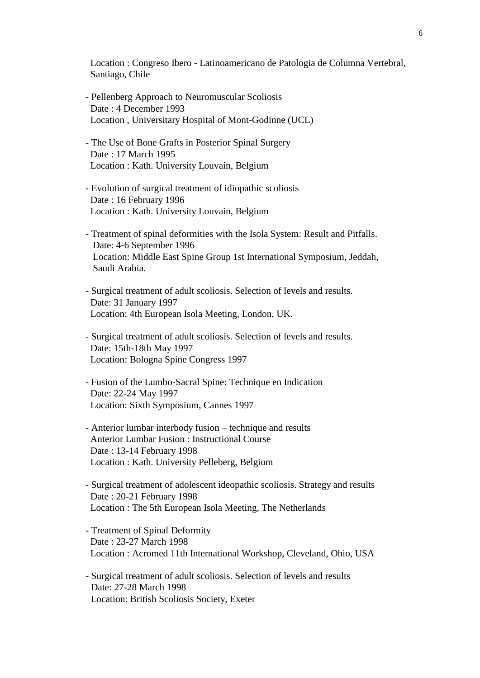Location : Congreso Ibero - Latinoamericano de Patologia de Columna Vertebral, Santiago, Chile

- Pellenberg Approach to Neuromuscular Scoliosis Date : 4 December 1993 Location , Universitary Hospital of Mont-Godinne (UCL)
- The Use of Bone Grafts in Posterior Spinal Surgery Date : 17 March 1995 Location : Kath. University Louvain, Belgium
- Evolution of surgical treatment of idiopathic scoliosis Date : 16 February 1996 Location : Kath. University Louvain, Belgium
- Treatment of spinal deformities with the Isola System: Result and Pitfalls. Date: 4-6 September 1996 Location: Middle East Spine Group 1st International Symposium, Jeddah, Saudi Arabia.
- Surgical treatment of adult scoliosis. Selection of levels and results. Date: 31 January 1997 Location: 4th European Isola Meeting, London, UK.
- Surgical treatment of adult scoliosis. Selection of levels and results. Date: 15th-18th May 1997 Location: Bologna Spine Congress 1997
- Fusion of the Lumbo-Sacral Spine: Technique en Indication Date: 22-24 May 1997 Location: Sixth Symposium, Cannes 1997
- Anterior lumbar interbody fusion technique and results Anterior Lumbar Fusion : Instructional Course Date : 13-14 February 1998 Location : Kath. University Pelleberg, Belgium
- Surgical treatment of adolescent ideopathic scoliosis. Strategy and results Date : 20-21 February 1998 Location : The 5th European Isola Meeting, The Netherlands
- Treatment of Spinal Deformity Date : 23-27 March 1998 Location : Acromed 11th International Workshop, Cleveland, Ohio, USA
- Surgical treatment of adult scoliosis. Selection of levels and results Date: 27-28 March 1998 Location: British Scoliosis Society, Exeter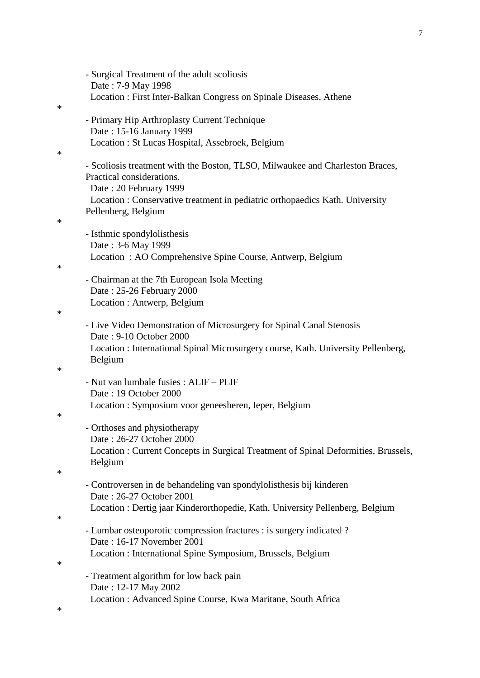|   | - Surgical Treatment of the adult scoliosis<br>Date: 7-9 May 1998                                                                                                                                                    |
|---|----------------------------------------------------------------------------------------------------------------------------------------------------------------------------------------------------------------------|
| ∗ | Location: First Inter-Balkan Congress on Spinale Diseases, Athene                                                                                                                                                    |
|   | - Primary Hip Arthroplasty Current Technique<br>Date: 15-16 January 1999                                                                                                                                             |
| ∗ | Location: St Lucas Hospital, Assebroek, Belgium                                                                                                                                                                      |
|   | - Scoliosis treatment with the Boston, TLSO, Milwaukee and Charleston Braces,<br>Practical considerations.<br>Date: 20 February 1999<br>Location : Conservative treatment in pediatric orthopaedics Kath. University |
|   | Pellenberg, Belgium                                                                                                                                                                                                  |
| ∗ | - Isthmic spondylolisthesis<br>Date: 3-6 May 1999                                                                                                                                                                    |
|   | Location: AO Comprehensive Spine Course, Antwerp, Belgium                                                                                                                                                            |
| ∗ | - Chairman at the 7th European Isola Meeting<br>Date: 25-26 February 2000<br>Location : Antwerp, Belgium                                                                                                             |
| ∗ |                                                                                                                                                                                                                      |
|   | - Live Video Demonstration of Microsurgery for Spinal Canal Stenosis<br>Date: 9-10 October 2000<br>Location: International Spinal Microsurgery course, Kath. University Pellenberg,<br>Belgium                       |
| ∗ | - Nut van lumbale fusies : ALIF - PLIF<br>Date: 19 October 2000<br>Location : Symposium voor geneesheren, Ieper, Belgium                                                                                             |
| ∗ | - Orthoses and physiotherapy                                                                                                                                                                                         |
|   | Date: 26-27 October 2000<br>Location: Current Concepts in Surgical Treatment of Spinal Deformities, Brussels,<br>Belgium                                                                                             |
| ∗ | - Controversen in de behandeling van spondylolisthesis bij kinderen                                                                                                                                                  |
| ∗ | Date: 26-27 October 2001<br>Location: Dertig jaar Kinderorthopedie, Kath. University Pellenberg, Belgium                                                                                                             |
|   | - Lumbar osteoporotic compression fractures : is surgery indicated ?<br>Date: 16-17 November 2001                                                                                                                    |
| ∗ | Location : International Spine Symposium, Brussels, Belgium                                                                                                                                                          |
|   | - Treatment algorithm for low back pain<br>Date: 12-17 May 2002                                                                                                                                                      |
| ∗ | Location: Advanced Spine Course, Kwa Maritane, South Africa                                                                                                                                                          |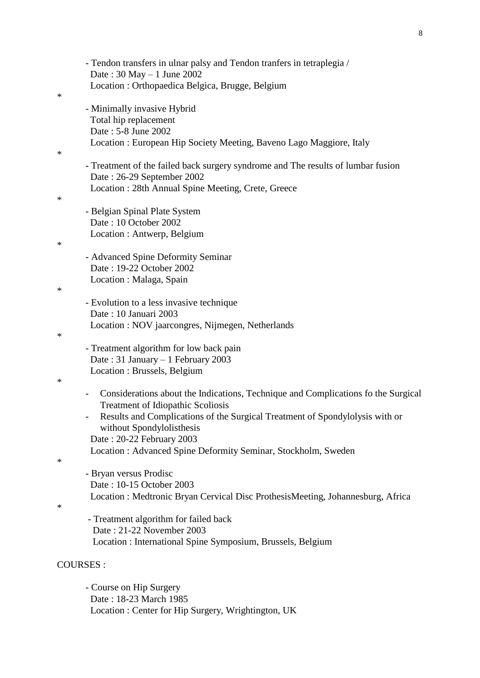|        | - Tendon transfers in ulnar palsy and Tendon tranfers in tetraplegia /                                        |
|--------|---------------------------------------------------------------------------------------------------------------|
|        | Date: $30$ May $-1$ June 2002                                                                                 |
|        | Location: Orthopaedica Belgica, Brugge, Belgium                                                               |
| ∗      |                                                                                                               |
|        | - Minimally invasive Hybrid                                                                                   |
|        | Total hip replacement                                                                                         |
|        | Date: 5-8 June 2002                                                                                           |
|        | Location: European Hip Society Meeting, Baveno Lago Maggiore, Italy                                           |
| ∗      |                                                                                                               |
|        | - Treatment of the failed back surgery syndrome and The results of lumbar fusion                              |
|        | Date: 26-29 September 2002                                                                                    |
|        | Location: 28th Annual Spine Meeting, Crete, Greece                                                            |
| $\ast$ |                                                                                                               |
|        | - Belgian Spinal Plate System                                                                                 |
|        | Date: 10 October 2002                                                                                         |
|        | Location : Antwerp, Belgium                                                                                   |
| ∗      |                                                                                                               |
|        |                                                                                                               |
|        | - Advanced Spine Deformity Seminar                                                                            |
|        | Date: 19-22 October 2002                                                                                      |
|        | Location: Malaga, Spain                                                                                       |
| ∗      |                                                                                                               |
|        | - Evolution to a less invasive technique                                                                      |
|        | Date: 10 Januari 2003                                                                                         |
|        | Location : NOV jaarcongres, Nijmegen, Netherlands                                                             |
| ∗      |                                                                                                               |
|        | - Treatment algorithm for low back pain                                                                       |
|        | Date: 31 January - 1 February 2003                                                                            |
|        | Location : Brussels, Belgium                                                                                  |
| ∗      |                                                                                                               |
|        | Considerations about the Indications, Technique and Complications fo the Surgical<br>$\overline{\phantom{0}}$ |
|        | Treatment of Idiopathic Scoliosis                                                                             |
|        | Results and Complications of the Surgical Treatment of Spondylolysis with or                                  |
|        | without Spondylolisthesis                                                                                     |
|        | Date: 20-22 February 2003                                                                                     |
|        | Location: Advanced Spine Deformity Seminar, Stockholm, Sweden                                                 |
| ∗      |                                                                                                               |
|        | - Bryan versus Prodisc                                                                                        |
|        | Date: 10-15 October 2003                                                                                      |
|        | Location : Medtronic Bryan Cervical Disc Prothesis Meeting, Johannesburg, Africa                              |
| ∗      |                                                                                                               |
|        | - Treatment algorithm for failed back                                                                         |
|        | Date: 21-22 November 2003                                                                                     |
|        |                                                                                                               |
|        | Location : International Spine Symposium, Brussels, Belgium                                                   |
|        |                                                                                                               |
|        | <b>COURSES:</b>                                                                                               |
|        | - Course on Hip Surgery                                                                                       |
|        |                                                                                                               |

 Date : 18-23 March 1985 Location : Center for Hip Surgery, Wrightington, UK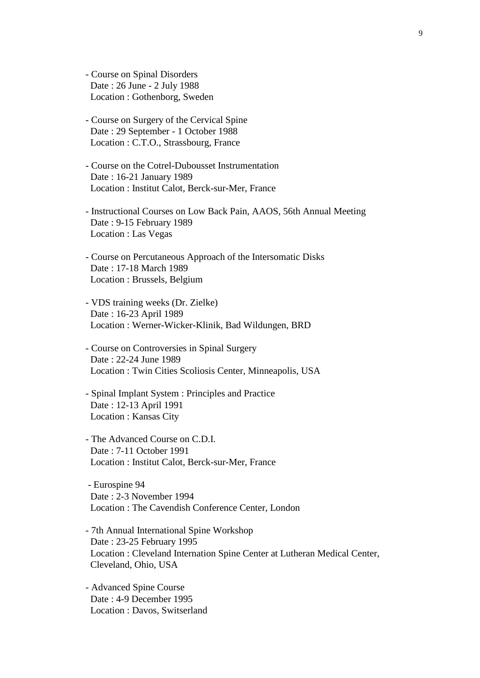- Course on Spinal Disorders Date : 26 June - 2 July 1988 Location : Gothenborg, Sweden
- Course on Surgery of the Cervical Spine Date : 29 September - 1 October 1988 Location : C.T.O., Strassbourg, France
- Course on the Cotrel-Dubousset Instrumentation Date : 16-21 January 1989 Location : Institut Calot, Berck-sur-Mer, France
- Instructional Courses on Low Back Pain, AAOS, 56th Annual Meeting Date : 9-15 February 1989 Location : Las Vegas
- Course on Percutaneous Approach of the Intersomatic Disks Date : 17-18 March 1989 Location : Brussels, Belgium
- VDS training weeks (Dr. Zielke) Date : 16-23 April 1989 Location : Werner-Wicker-Klinik, Bad Wildungen, BRD
- Course on Controversies in Spinal Surgery Date : 22-24 June 1989 Location : Twin Cities Scoliosis Center, Minneapolis, USA
- Spinal Implant System : Principles and Practice Date : 12-13 April 1991 Location : Kansas City
- The Advanced Course on C.D.I. Date : 7-11 October 1991 Location : Institut Calot, Berck-sur-Mer, France
- Eurospine 94 Date : 2-3 November 1994 Location : The Cavendish Conference Center, London
- 7th Annual International Spine Workshop Date : 23-25 February 1995 Location : Cleveland Internation Spine Center at Lutheran Medical Center, Cleveland, Ohio, USA
- Advanced Spine Course Date : 4-9 December 1995 Location : Davos, Switserland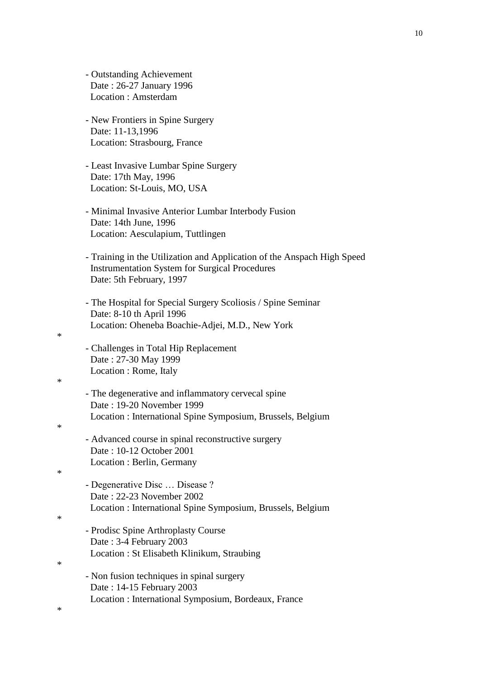- Outstanding Achievement Date : 26-27 January 1996 Location : Amsterdam
- New Frontiers in Spine Surgery Date: 11-13,1996 Location: Strasbourg, France
- Least Invasive Lumbar Spine Surgery Date: 17th May, 1996 Location: St-Louis, MO, USA
- Minimal Invasive Anterior Lumbar Interbody Fusion Date: 14th June, 1996 Location: Aesculapium, Tuttlingen
- Training in the Utilization and Application of the Anspach High Speed Instrumentation System for Surgical Procedures Date: 5th February, 1997
- The Hospital for Special Surgery Scoliosis / Spine Seminar Date: 8-10 th April 1996 Location: Oheneba Boachie-Adjei, M.D., New York
- Challenges in Total Hip Replacement Date : 27-30 May 1999 Location : Rome, Italy

### \*

\*

\*

- The degenerative and inflammatory cervecal spine Date : 19-20 November 1999 Location : International Spine Symposium, Brussels, Belgium
- Advanced course in spinal reconstructive surgery Date : 10-12 October 2001 Location : Berlin, Germany

# \*

- Degenerative Disc … Disease ? Date : 22-23 November 2002 Location : International Spine Symposium, Brussels, Belgium
- Prodisc Spine Arthroplasty Course Date : 3-4 February 2003 Location : St Elisabeth Klinikum, Straubing

#### \*

\*

\*

- Non fusion techniques in spinal surgery Date : 14-15 February 2003 Location : International Symposium, Bordeaux, France